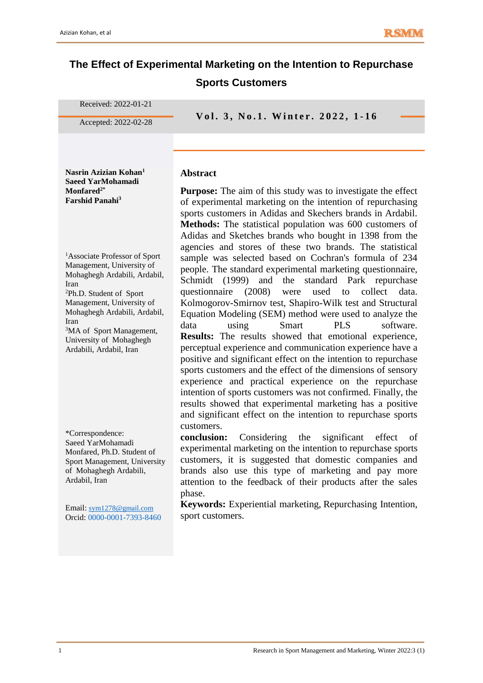# **The Effect of Experimental Marketing on the Intention to Repurchase Sports Customers**

**Abstract**

Received: 2022-01-21

**Accepted: 2022-02-28 vol. 3, No.1. Winter. 2022, 1-16** 

**Nasrin Azizian Kohan<sup>1</sup> Saeed YarMohamadi Monfared2\* Farshid Panahi<sup>3</sup>**

<sup>1</sup>Associate Professor of Sport Management, University of Mohaghegh Ardabili, Ardabil, Iran

<sup>2</sup>Ph.D. Student of Sport Management, University of Mohaghegh Ardabili, Ardabil, Iran

<sup>3</sup>MA of Sport Management, University of Mohaghegh Ardabili, Ardabil, Iran

\*Correspondence: Saeed YarMohamadi Monfared, Ph.D. Student of Sport Management, University of Mohaghegh Ardabili, Ardabil, Iran

Email: [sym1278@gmail.com](mailto:sym1278@gmail.com) Orcid: 0000-0001-7393-8460 **Purpose:** The aim of this study was to investigate the effect of experimental marketing on the intention of repurchasing sports customers in Adidas and Skechers brands in Ardabil. **Methods:** The statistical population was 600 customers of Adidas and Sketches brands who bought in 1398 from the agencies and stores of these two brands. The statistical sample was selected based on Cochran's formula of 234 people. The standard experimental marketing questionnaire, Schmidt (1999) and the standard Park repurchase questionnaire (2008) were used to collect data. Kolmogorov-Smirnov test, Shapiro-Wilk test and Structural Equation Modeling (SEM) method were used to analyze the data using Smart PLS software. **Results:** The results showed that emotional experience, perceptual experience and communication experience have a positive and significant effect on the intention to repurchase sports customers and the effect of the dimensions of sensory experience and practical experience on the repurchase intention of sports customers was not confirmed. Finally, the results showed that experimental marketing has a positive and significant effect on the intention to repurchase sports customers.

**conclusion:** Considering the significant effect of experimental marketing on the intention to repurchase sports customers, it is suggested that domestic companies and brands also use this type of marketing and pay more attention to the feedback of their products after the sales phase.

**Keywords:** Experiential marketing, Repurchasing Intention, sport customers.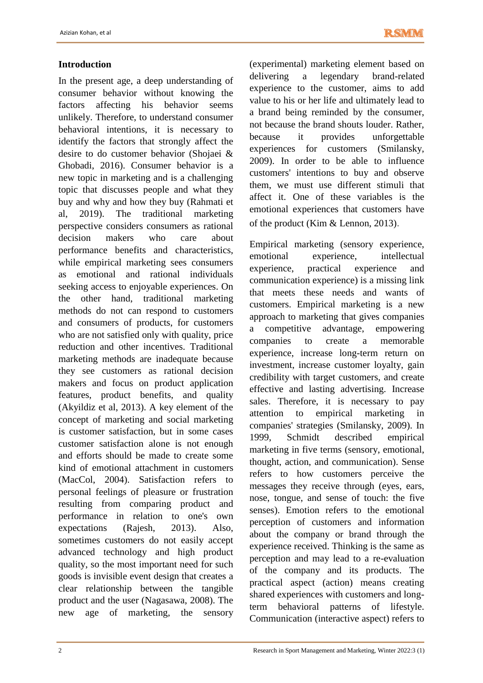# **Introduction**

In the present age, a deep understanding of consumer behavior without knowing the factors affecting his behavior seems unlikely. Therefore, to understand consumer behavioral intentions, it is necessary to identify the factors that strongly affect the desire to do customer behavior (Shojaei & Ghobadi, 2016). Consumer behavior is a new topic in marketing and is a challenging topic that discusses people and what they buy and why and how they buy (Rahmati et al, 2019). The traditional marketing perspective considers consumers as rational decision makers who care about performance benefits and characteristics, while empirical marketing sees consumers as emotional and rational individuals seeking access to enjoyable experiences. On the other hand, traditional marketing methods do not can respond to customers and consumers of products, for customers who are not satisfied only with quality, price reduction and other incentives. Traditional marketing methods are inadequate because they see customers as rational decision makers and focus on product application features, product benefits, and quality (Akyildiz et al, 2013). A key element of the concept of marketing and social marketing is customer satisfaction, but in some cases customer satisfaction alone is not enough and efforts should be made to create some kind of emotional attachment in customers (MacCol, 2004). Satisfaction refers to personal feelings of pleasure or frustration resulting from comparing product and performance in relation to one's own expectations (Rajesh, 2013). Also, sometimes customers do not easily accept advanced technology and high product quality, so the most important need for such goods is invisible event design that creates a clear relationship between the tangible product and the user (Nagasawa, 2008). The new age of marketing, the sensory

(experimental) marketing element based on delivering a legendary brand-related experience to the customer, aims to add value to his or her life and ultimately lead to a brand being reminded by the consumer, not because the brand shouts louder. Rather, because it provides unforgettable experiences for customers (Smilansky, 2009). In order to be able to influence customers' intentions to buy and observe them, we must use different stimuli that affect it. One of these variables is the emotional experiences that customers have of the product (Kim & Lennon, 2013).

Empirical marketing (sensory experience, emotional experience, intellectual experience, practical experience and communication experience) is a missing link that meets these needs and wants of customers. Empirical marketing is a new approach to marketing that gives companies a competitive advantage, empowering companies to create a memorable experience, increase long-term return on investment, increase customer loyalty, gain credibility with target customers, and create effective and lasting advertising. Increase sales. Therefore, it is necessary to pay attention to empirical marketing in companies' strategies (Smilansky, 2009). In 1999, Schmidt described empirical marketing in five terms (sensory, emotional, thought, action, and communication). Sense refers to how customers perceive the messages they receive through (eyes, ears, nose, tongue, and sense of touch: the five senses). Emotion refers to the emotional perception of customers and information about the company or brand through the experience received. Thinking is the same as perception and may lead to a re-evaluation of the company and its products. The practical aspect (action) means creating shared experiences with customers and longterm behavioral patterns of lifestyle. Communication (interactive aspect) refers to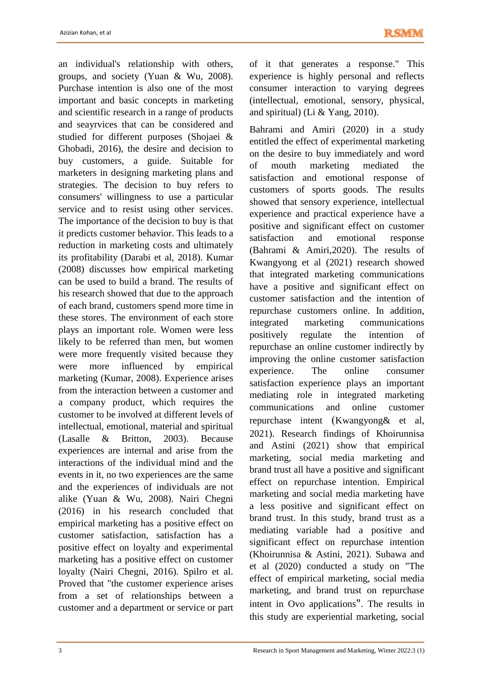an individual's relationship with others, groups, and society (Yuan & Wu, 2008). Purchase intention is also one of the most important and basic concepts in marketing and scientific research in a range of products and seayrvices that can be considered and studied for different purposes (Shojaei & Ghobadi, 2016), the desire and decision to buy customers, a guide. Suitable for marketers in designing marketing plans and strategies. The decision to buy refers to consumers' willingness to use a particular service and to resist using other services. The importance of the decision to buy is that it predicts customer behavior. This leads to a reduction in marketing costs and ultimately its profitability (Darabi et al, 2018). Kumar (2008) discusses how empirical marketing can be used to build a brand. The results of his research showed that due to the approach of each brand, customers spend more time in these stores. The environment of each store plays an important role. Women were less likely to be referred than men, but women were more frequently visited because they were more influenced by empirical marketing (Kumar, 2008). Experience arises from the interaction between a customer and a company product, which requires the customer to be involved at different levels of intellectual, emotional, material and spiritual (Lasalle & Britton, 2003). Because experiences are internal and arise from the interactions of the individual mind and the events in it, no two experiences are the same and the experiences of individuals are not alike (Yuan & Wu, 2008). Nairi Chegni (2016) in his research concluded that empirical marketing has a positive effect on customer satisfaction, satisfaction has a positive effect on loyalty and experimental marketing has a positive effect on customer loyalty (Nairi Chegni, 2016). Spilro et al. Proved that "the customer experience arises from a set of relationships between a customer and a department or service or part of it that generates a response." This experience is highly personal and reflects consumer interaction to varying degrees (intellectual, emotional, sensory, physical, and spiritual) (Li & Yang, 2010).

Bahrami and Amiri (2020) in a study entitled the effect of experimental marketing on the desire to buy immediately and word of mouth marketing mediated the satisfaction and emotional response of customers of sports goods. The results showed that sensory experience, intellectual experience and practical experience have a positive and significant effect on customer satisfaction and emotional response (Bahrami & Amiri,2020). The results of Kwangyong et al (2021) research showed that integrated marketing communications have a positive and significant effect on customer satisfaction and the intention of repurchase customers online. In addition, integrated marketing communications positively regulate the intention of repurchase an online customer indirectly by improving the online customer satisfaction experience. The online consumer satisfaction experience plays an important mediating role in integrated marketing communications and online customer repurchase intent (Kwangyong & et al, 2021). Research findings of Khoirunnisa and Astini (2021) show that empirical marketing, social media marketing and brand trust all have a positive and significant effect on repurchase intention. Empirical marketing and social media marketing have a less positive and significant effect on brand trust. In this study, brand trust as a mediating variable had a positive and significant effect on repurchase intention (Khoirunnisa & Astini, 2021). Subawa and et al (2020) conducted a study on "The effect of empirical marketing, social media marketing, and brand trust on repurchase intent in Ovo applications". The results in this study are experiential marketing, social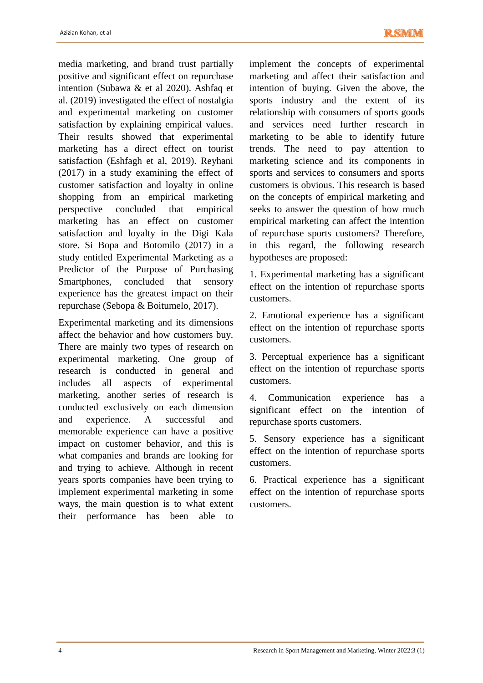media marketing, and brand trust partially positive and significant effect on repurchase intention (Subawa & et al 2020). Ashfaq et al. (2019) investigated the effect of nostalgia and experimental marketing on customer satisfaction by explaining empirical values. Their results showed that experimental marketing has a direct effect on tourist satisfaction (Eshfagh et al, 2019). Reyhani (2017) in a study examining the effect of customer satisfaction and loyalty in online shopping from an empirical marketing perspective concluded that empirical marketing has an effect on customer satisfaction and loyalty in the Digi Kala store. Si Bopa and Botomilo (2017) in a study entitled Experimental Marketing as a Predictor of the Purpose of Purchasing Smartphones, concluded that sensory experience has the greatest impact on their repurchase (Sebopa & Boitumelo, 2017).

Experimental marketing and its dimensions affect the behavior and how customers buy. There are mainly two types of research on experimental marketing. One group of research is conducted in general and includes all aspects of experimental marketing, another series of research is conducted exclusively on each dimension and experience. A successful and memorable experience can have a positive impact on customer behavior, and this is what companies and brands are looking for and trying to achieve. Although in recent years sports companies have been trying to implement experimental marketing in some ways, the main question is to what extent their performance has been able to implement the concepts of experimental marketing and affect their satisfaction and intention of buying. Given the above, the sports industry and the extent of its relationship with consumers of sports goods and services need further research in marketing to be able to identify future trends. The need to pay attention to marketing science and its components in sports and services to consumers and sports customers is obvious. This research is based on the concepts of empirical marketing and seeks to answer the question of how much empirical marketing can affect the intention of repurchase sports customers? Therefore, in this regard, the following research hypotheses are proposed:

1. Experimental marketing has a significant effect on the intention of repurchase sports customers.

2. Emotional experience has a significant effect on the intention of repurchase sports customers.

3. Perceptual experience has a significant effect on the intention of repurchase sports customers.

4. Communication experience has a significant effect on the intention of repurchase sports customers.

5. Sensory experience has a significant effect on the intention of repurchase sports customers.

6. Practical experience has a significant effect on the intention of repurchase sports customers.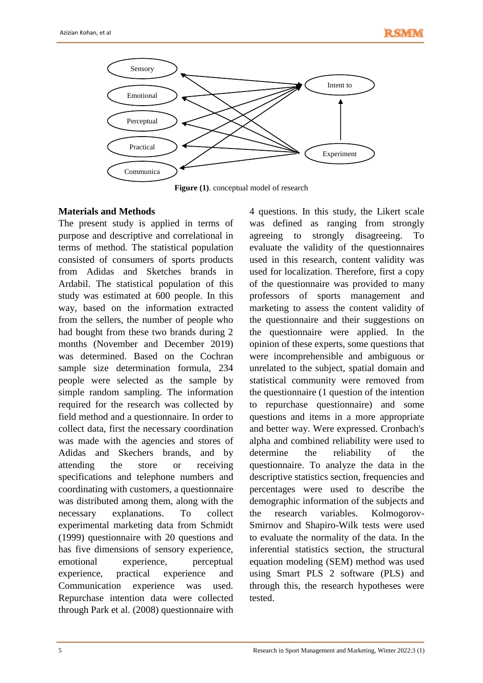

**Figure (1)**. conceptual model of research

## **Materials and Methods**

The present study is applied in terms of purpose and descriptive and correlational in terms of method. The statistical population consisted of consumers of sports products from Adidas and Sketches brands in Ardabil. The statistical population of this study was estimated at 600 people. In this way, based on the information extracted from the sellers, the number of people who had bought from these two brands during 2 months (November and December 2019) was determined. Based on the Cochran sample size determination formula, 234 people were selected as the sample by simple random sampling. The information required for the research was collected by field method and a questionnaire. In order to collect data, first the necessary coordination was made with the agencies and stores of Adidas and Skechers brands, and by attending the store or receiving specifications and telephone numbers and coordinating with customers, a questionnaire was distributed among them, along with the necessary explanations. To collect experimental marketing data from Schmidt (1999) questionnaire with 20 questions and has five dimensions of sensory experience, emotional experience, perceptual experience, practical experience and Communication experience was used. Repurchase intention data were collected through Park et al. (2008) questionnaire with

4 questions. In this study, the Likert scale was defined as ranging from strongly agreeing to strongly disagreeing. To evaluate the validity of the questionnaires used in this research, content validity was used for localization. Therefore, first a copy of the questionnaire was provided to many professors of sports management and marketing to assess the content validity of the questionnaire and their suggestions on the questionnaire were applied. In the opinion of these experts, some questions that were incomprehensible and ambiguous or unrelated to the subject, spatial domain and statistical community were removed from the questionnaire (1 question of the intention to repurchase questionnaire) and some questions and items in a more appropriate and better way. Were expressed. Cronbach's alpha and combined reliability were used to determine the reliability of the questionnaire. To analyze the data in the descriptive statistics section, frequencies and percentages were used to describe the demographic information of the subjects and the research variables. Kolmogorov-Smirnov and Shapiro-Wilk tests were used to evaluate the normality of the data. In the inferential statistics section, the structural equation modeling (SEM) method was used using Smart PLS 2 software (PLS) and through this, the research hypotheses were tested.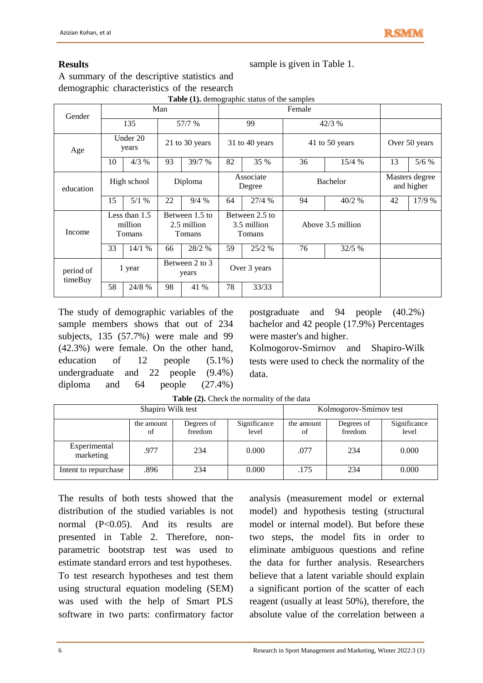# **Results**

sample is given in Table 1.

A summary of the descriptive statistics and demographic characteristics of the research

| Gender               | Man |                                      |    |                                         | Female                                  |                     |                   |        |                              |               |
|----------------------|-----|--------------------------------------|----|-----------------------------------------|-----------------------------------------|---------------------|-------------------|--------|------------------------------|---------------|
|                      |     | 135                                  |    | 57/7 %                                  |                                         | 99                  |                   | 42/3 % |                              |               |
| Age                  |     | Under 20<br>years                    |    | 21 to 30 years                          | 31 to 40 years                          |                     | 41 to 50 years    |        |                              | Over 50 years |
|                      | 10  | 4/3%                                 | 93 | 39/7 %                                  | 82                                      | 35 %                | 36                | 15/4%  | 13                           | 5/6%          |
| education            |     | High school                          |    | Diploma                                 |                                         | Associate<br>Degree | <b>Bachelor</b>   |        | Masters degree<br>and higher |               |
|                      | 15  | 5/1%                                 | 22 | 9/4%                                    | 64                                      | 27/4%               | 94                | 40/2 % | 42                           | 17/9 %        |
| Income               |     | Less than $1.5$<br>million<br>Tomans |    | Between 1.5 to<br>2.5 million<br>Tomans | Between 2.5 to<br>3.5 million<br>Tomans |                     | Above 3.5 million |        |                              |               |
|                      | 33  | 14/1%                                | 66 | 28/2 %                                  | 59                                      | $25/2$ %            | 76                | 32/5%  |                              |               |
| period of<br>timeBuy |     | 1 year                               |    | Between 2 to 3<br>years                 | Over 3 years                            |                     |                   |        |                              |               |
|                      | 58  | 24/8 %                               | 98 | 41 %                                    | 78                                      | 33/33               |                   |        |                              |               |

**Table (1).** demographic status of the samples

The study of demographic variables of the sample members shows that out of 234 subjects, 135 (57.7%) were male and 99 (42.3%) were female. On the other hand, education of 12 people (5.1%) undergraduate and 22 people (9.4%) diploma and 64 people (27.4%)

postgraduate and 94 people (40.2%) bachelor and 42 people (17.9%) Percentages were master's and higher.

Kolmogorov-Smirnov and Shapiro-Wilk tests were used to check the normality of the data.

|                           | Shapiro Wilk test | Kolmogorov-Smirnov test |                       |                  |                       |                       |
|---------------------------|-------------------|-------------------------|-----------------------|------------------|-----------------------|-----------------------|
|                           | the amount<br>of  | Degrees of<br>freedom   | Significance<br>level | the amount<br>of | Degrees of<br>freedom | Significance<br>level |
| Experimental<br>marketing | .977              | 234                     | 0.000                 | .077             | 234                   | 0.000                 |
| Intent to repurchase      | .896              | 234                     | 0.000                 | .175             | 234                   | 0.000                 |

**Table (2).** Check the normality of the data

The results of both tests showed that the distribution of the studied variables is not normal (P<0.05). And its results are presented in Table 2. Therefore, nonparametric bootstrap test was used to estimate standard errors and test hypotheses. To test research hypotheses and test them using structural equation modeling (SEM) was used with the help of Smart PLS software in two parts: confirmatory factor analysis (measurement model or external model) and hypothesis testing (structural model or internal model). But before these two steps, the model fits in order to eliminate ambiguous questions and refine the data for further analysis. Researchers believe that a latent variable should explain a significant portion of the scatter of each reagent (usually at least 50%), therefore, the absolute value of the correlation between a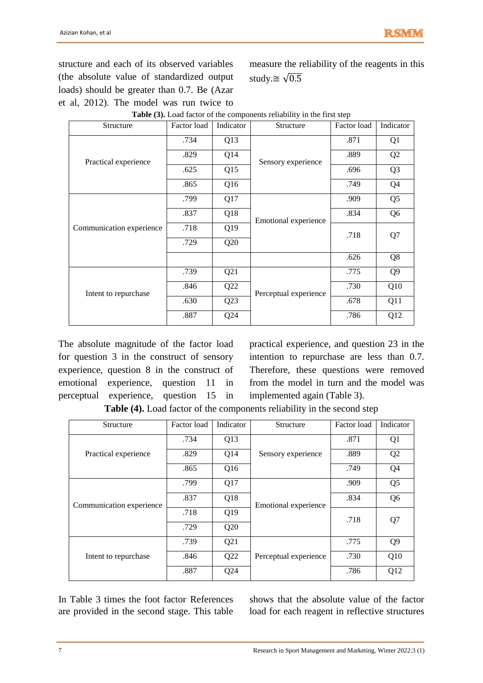structure and each of its observed variables (the absolute value of standardized output loads) should be greater than 0.7. Be (Azar et al, 2012). The model was run twice to measure the reliability of the reagents in this study. $\cong \sqrt{0.5}$ 

| Structure                | Factor load | Indicator | Structure             | Factor load | Indicator      |
|--------------------------|-------------|-----------|-----------------------|-------------|----------------|
|                          | .734        | Q13       |                       | .871        | Q1             |
| Practical experience     | .829        | Q14       | Sensory experience    | .889        | Q <sub>2</sub> |
|                          | .625        | Q15       |                       | .696        | Q <sub>3</sub> |
|                          | .865        | Q16       |                       | .749        | Q <sub>4</sub> |
|                          | .799        | Q17       |                       | .909        | Q <sub>5</sub> |
|                          | .837        | Q18       | Emotional experience  | .834        | Q <sub>6</sub> |
| Communication experience | .718        | Q19       |                       | .718        | Q7             |
|                          | .729        | Q20       |                       |             |                |
|                          |             |           |                       | .626        | Q8             |
|                          | .739        | Q21       |                       | .775        | Q <sub>9</sub> |
| Intent to repurchase     | .846        | Q22       | Perceptual experience | .730        | Q10            |
|                          | .630        | Q23       |                       | .678        | Q11            |
|                          | .887        | Q24       |                       | .786        | Q12            |

| Table (3). Load factor of the components reliability in the first step |  |
|------------------------------------------------------------------------|--|
|                                                                        |  |

The absolute magnitude of the factor load for question 3 in the construct of sensory experience, question 8 in the construct of emotional experience, question 11 in perceptual experience, question 15 in

practical experience, and question 23 in the intention to repurchase are less than 0.7. Therefore, these questions were removed from the model in turn and the model was implemented again (Table 3).

**Table (4).** Load factor of the components reliability in the second step

| Structure                | Indicator<br>Factor load<br>Structure |     | Factor load           | Indicator |                |
|--------------------------|---------------------------------------|-----|-----------------------|-----------|----------------|
|                          | .734                                  | Q13 |                       | .871      | Q <sub>1</sub> |
| Practical experience     | .829                                  | Q14 | Sensory experience    | .889      | Q <sub>2</sub> |
|                          | .865                                  | Q16 |                       | .749      | Q <sub>4</sub> |
|                          | .799                                  | Q17 |                       | .909      | Q <sub>5</sub> |
| Communication experience | .837                                  | Q18 | Emotional experience  | .834      | Q <sub>6</sub> |
|                          | .718                                  | Q19 |                       | .718      | Q7             |
|                          | .729                                  | Q20 |                       |           |                |
|                          | .739                                  | Q21 |                       | .775      | Q <sub>9</sub> |
| Intent to repurchase     | .846                                  | Q22 | Perceptual experience | .730      | Q10            |
|                          | .887                                  | Q24 |                       | .786      | Q12            |

In Table 3 times the foot factor References are provided in the second stage. This table shows that the absolute value of the factor load for each reagent in reflective structures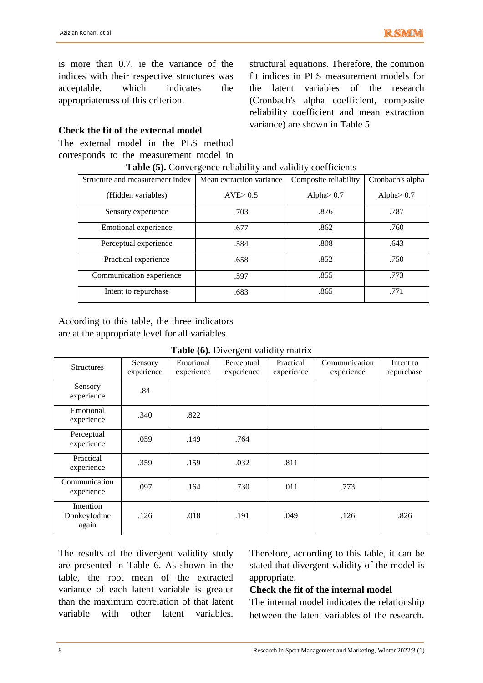is more than 0.7, ie the variance of the indices with their respective structures was acceptable, which indicates the appropriateness of this criterion.

#### **Check the fit of the external model**

The external model in the PLS method corresponds to the measurement model in<br> $T_{\text{L}}$   $\text{L}$   $\text{L}$   $\text{C}$   $\text{C}$   $\text{C}$   $\text{L}$   $\text{L}$   $\text{L}$   $\text{L}$ 

structural equations. Therefore, the common fit indices in PLS measurement models for the latent variables of the research (Cronbach's alpha coefficient, composite reliability coefficient and mean extraction variance) are shown in Table 5.

| <b>Table (5).</b> Convergence reliability and validity coefficients |                          |                       |                  |  |  |  |  |  |  |
|---------------------------------------------------------------------|--------------------------|-----------------------|------------------|--|--|--|--|--|--|
| Structure and measurement index                                     | Mean extraction variance | Composite reliability | Cronbach's alpha |  |  |  |  |  |  |
| (Hidden variables)                                                  | AVE > 0.5                | Alpha $> 0.7$         | Alpha $> 0.7$    |  |  |  |  |  |  |
| Sensory experience                                                  | .703                     | .876                  | .787             |  |  |  |  |  |  |
| Emotional experience                                                | .677                     | .862                  | .760             |  |  |  |  |  |  |
| Perceptual experience                                               | .584                     | .808                  | .643             |  |  |  |  |  |  |
| Practical experience                                                | .658                     | .852                  | .750             |  |  |  |  |  |  |
| Communication experience                                            | .597                     | .855                  | .773             |  |  |  |  |  |  |
| Intent to repurchase                                                | .683                     | .865                  | .771             |  |  |  |  |  |  |

According to this table, the three indicators are at the appropriate level for all variables.

|  | <b>Table (6).</b> Divergent validity matrix |  |  |
|--|---------------------------------------------|--|--|
|--|---------------------------------------------|--|--|

| <b>Structures</b>                  | Sensory<br>experience | Emotional<br>experience | Perceptual<br>experience | Practical<br>experience | Communication<br>experience | Intent to<br>repurchase |
|------------------------------------|-----------------------|-------------------------|--------------------------|-------------------------|-----------------------------|-------------------------|
| Sensory<br>experience              | .84                   |                         |                          |                         |                             |                         |
| Emotional<br>experience            | .340                  | .822                    |                          |                         |                             |                         |
| Perceptual<br>experience           | .059                  | .149                    | .764                     |                         |                             |                         |
| Practical<br>experience            | .359                  | .159                    | .032                     | .811                    |                             |                         |
| Communication<br>experience        | .097                  | .164                    | .730                     | .011                    | .773                        |                         |
| Intention<br>DonkeyIodine<br>again | .126                  | .018                    | .191                     | .049                    | .126                        | .826                    |

The results of the divergent validity study are presented in Table 6. As shown in the table, the root mean of the extracted variance of each latent variable is greater than the maximum correlation of that latent variable with other latent variables.

Therefore, according to this table, it can be stated that divergent validity of the model is appropriate.

## **Check the fit of the internal model**

The internal model indicates the relationship between the latent variables of the research.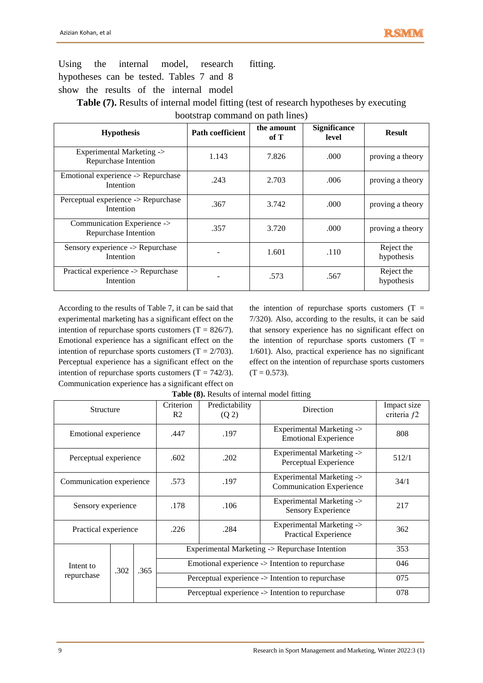Using the internal model, research hypotheses can be tested. Tables 7 and 8 show the results of the internal model fitting.

Table (7). Results of internal model fitting (test of research hypotheses by executing bootstrap command on path lines)

| <b>Hypothesis</b>                                   | <b>Path coefficient</b> | the amount<br>of T | <b>Significance</b><br>level | <b>Result</b>            |
|-----------------------------------------------------|-------------------------|--------------------|------------------------------|--------------------------|
| Experimental Marketing -><br>Repurchase Intention   | 1.143                   | 7.826              | .000                         | proving a theory         |
| Emotional experience -> Repurchase<br>Intention     | .243                    | 2.703              | .006                         | proving a theory         |
| Perceptual experience -> Repurchase<br>Intention    | .367                    | 3.742              | .000                         | proving a theory         |
| Communication Experience -><br>Repurchase Intention | .357                    | 3.720              | .000                         | proving a theory         |
| Sensory experience -> Repurchase<br>Intention       |                         | 1.601              | .110                         | Reject the<br>hypothesis |
| Practical experience -> Repurchase<br>Intention     |                         | .573               | .567                         | Reject the<br>hypothesis |

According to the results of Table 7, it can be said that experimental marketing has a significant effect on the intention of repurchase sports customers  $(T = 826/7)$ . Emotional experience has a significant effect on the intention of repurchase sports customers  $(T = 2/703)$ . Perceptual experience has a significant effect on the intention of repurchase sports customers  $(T = 742/3)$ . Communication experience has a significant effect on

the intention of repurchase sports customers  $(T =$ 7/320). Also, according to the results, it can be said that sensory experience has no significant effect on the intention of repurchase sports customers  $(T =$ 1/601). Also, practical experience has no significant effect on the intention of repurchase sports customers  $(T = 0.573)$ .

| Structure                |      | Criterion<br>Predictability<br>Direction<br>R <sub>2</sub><br>(Q 2) |                                                            | Impact size<br>criteria f2                                       |       |     |  |  |
|--------------------------|------|---------------------------------------------------------------------|------------------------------------------------------------|------------------------------------------------------------------|-------|-----|--|--|
| Emotional experience     |      |                                                                     | .447                                                       | Experimental Marketing -><br>.197<br><b>Emotional Experience</b> |       | 808 |  |  |
| Perceptual experience    |      | .602                                                                | Experimental Marketing -><br>.202<br>Perceptual Experience |                                                                  | 512/1 |     |  |  |
| Communication experience |      | .573                                                                | .197                                                       | Experimental Marketing -><br><b>Communication Experience</b>     | 34/1  |     |  |  |
| Sensory experience       |      | .178                                                                | .106                                                       | Experimental Marketing -><br>Sensory Experience                  | 217   |     |  |  |
| Practical experience     |      | .226                                                                | .284                                                       | Experimental Marketing -><br>Practical Experience                | 362   |     |  |  |
|                          |      |                                                                     |                                                            | Experimental Marketing -> Repurchase Intention                   |       |     |  |  |
| Intent to<br>repurchase  | .302 | .365                                                                |                                                            | Emotional experience -> Intention to repurchase                  |       |     |  |  |
|                          |      |                                                                     |                                                            | Perceptual experience -> Intention to repurchase                 |       |     |  |  |
|                          |      |                                                                     |                                                            | Perceptual experience -> Intention to repurchase                 |       |     |  |  |

**Table (8).** Results of internal model fitting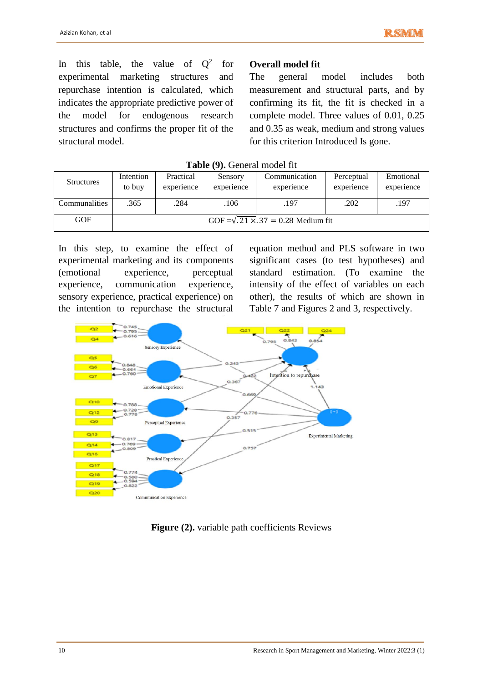In this table, the value of  $Q^2$ for experimental marketing structures and repurchase intention is calculated, which indicates the appropriate predictive power of the model for endogenous research structures and confirms the proper fit of the structural model.

## **Overall model fit**

The general model includes both measurement and structural parts, and by confirming its fit, the fit is checked in a complete model. Three values of 0.01, 0.25 and 0.35 as weak, medium and strong values for this criterion Introduced Is gone.

| <b>Structures</b> | Intention | Practical  | Sensory    | Communication                                   | Perceptual | Emotional  |
|-------------------|-----------|------------|------------|-------------------------------------------------|------------|------------|
|                   | to buy    | experience | experience | experience                                      | experience | experience |
| Communalities     | .365      | .284       | .106       | .197                                            | .202       | .197       |
| <b>GOF</b>        |           |            |            | GOF = $\sqrt{.21 \times .37}$ = 0.28 Medium fit |            |            |

In this step, to examine the effect of experimental marketing and its components (emotional experience, perceptual experience, communication experience, sensory experience, practical experience) on the intention to repurchase the structural

equation method and PLS software in two significant cases (to test hypotheses) and standard estimation. (To examine the intensity of the effect of variables on each other), the results of which are shown in Table 7 and Figures 2 and 3, respectively.



Figure (2). variable path coefficients Reviews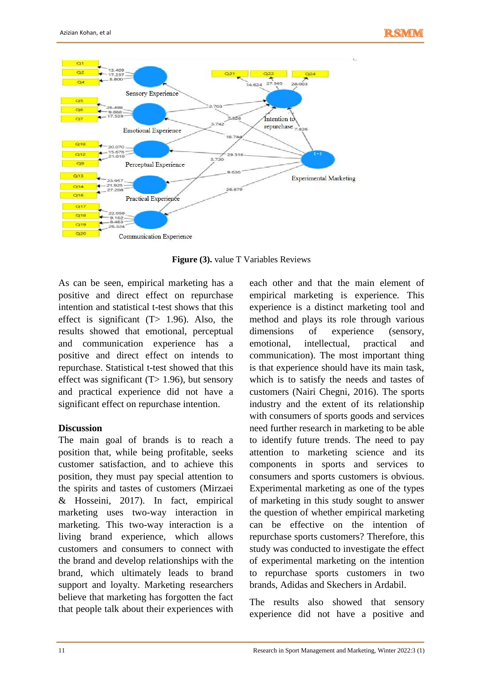

**Figure (3).** value T Variables Reviews

As can be seen, empirical marketing has a positive and direct effect on repurchase intention and statistical t-test shows that this effect is significant  $(T> 1.96)$ . Also, the results showed that emotional, perceptual and communication experience has a positive and direct effect on intends to repurchase. Statistical t-test showed that this effect was significant  $(T> 1.96)$ , but sensory and practical experience did not have a significant effect on repurchase intention.

## **Discussion**

The main goal of brands is to reach a position that, while being profitable, seeks customer satisfaction, and to achieve this position, they must pay special attention to the spirits and tastes of customers (Mirzaei & Hosseini, 2017). In fact, empirical marketing uses two-way interaction in marketing. This two-way interaction is a living brand experience, which allows customers and consumers to connect with the brand and develop relationships with the brand, which ultimately leads to brand support and loyalty. Marketing researchers believe that marketing has forgotten the fact that people talk about their experiences with each other and that the main element of empirical marketing is experience. This experience is a distinct marketing tool and method and plays its role through various dimensions of experience (sensory, emotional, intellectual, practical and communication). The most important thing is that experience should have its main task, which is to satisfy the needs and tastes of customers (Nairi Chegni, 2016). The sports industry and the extent of its relationship with consumers of sports goods and services need further research in marketing to be able to identify future trends. The need to pay attention to marketing science and its components in sports and services to consumers and sports customers is obvious. Experimental marketing as one of the types of marketing in this study sought to answer the question of whether empirical marketing can be effective on the intention of repurchase sports customers? Therefore, this study was conducted to investigate the effect of experimental marketing on the intention to repurchase sports customers in two brands, Adidas and Skechers in Ardabil.

The results also showed that sensory experience did not have a positive and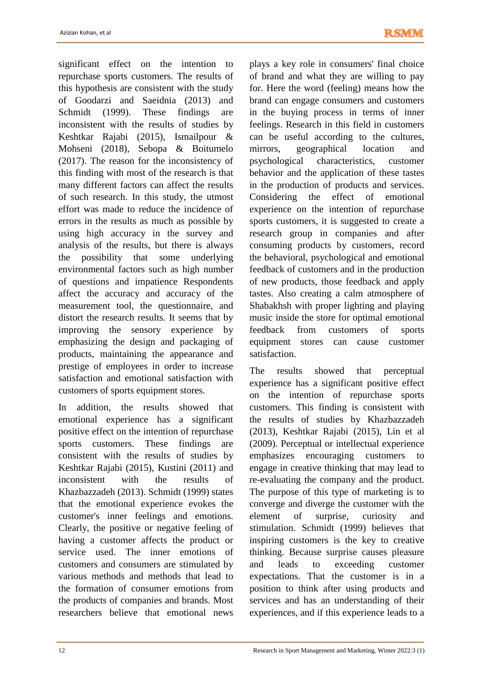significant effect on the intention to repurchase sports customers. The results of this hypothesis are consistent with the study of Goodarzi and Saeidnia (2013) and Schmidt (1999). These findings are inconsistent with the results of studies by Keshtkar Rajabi (2015), Ismailpour & Mohseni (2018), Sebopa & Boitumelo (2017). The reason for the inconsistency of this finding with most of the research is that many different factors can affect the results of such research. In this study, the utmost effort was made to reduce the incidence of errors in the results as much as possible by using high accuracy in the survey and analysis of the results, but there is always the possibility that some underlying environmental factors such as high number of questions and impatience Respondents affect the accuracy and accuracy of the measurement tool, the questionnaire, and distort the research results. It seems that by improving the sensory experience by emphasizing the design and packaging of products, maintaining the appearance and prestige of employees in order to increase satisfaction and emotional satisfaction with customers of sports equipment stores.

In addition, the results showed that emotional experience has a significant positive effect on the intention of repurchase sports customers. These findings are consistent with the results of studies by Keshtkar Rajabi (2015), Kustini (2011) and inconsistent with the results of Khazbazzadeh (2013). Schmidt (1999) states that the emotional experience evokes the customer's inner feelings and emotions. Clearly, the positive or negative feeling of having a customer affects the product or service used. The inner emotions of customers and consumers are stimulated by various methods and methods that lead to the formation of consumer emotions from the products of companies and brands. Most researchers believe that emotional news

plays a key role in consumers' final choice of brand and what they are willing to pay for. Here the word (feeling) means how the brand can engage consumers and customers in the buying process in terms of inner feelings. Research in this field in customers can be useful according to the cultures, mirrors, geographical location and psychological characteristics, customer behavior and the application of these tastes in the production of products and services. Considering the effect of emotional experience on the intention of repurchase sports customers, it is suggested to create a research group in companies and after consuming products by customers, record the behavioral, psychological and emotional feedback of customers and in the production of new products, those feedback and apply tastes. Also creating a calm atmosphere of Shabakhsh with proper lighting and playing music inside the store for optimal emotional feedback from customers of sports equipment stores can cause customer satisfaction.

The results showed that perceptual experience has a significant positive effect on the intention of repurchase sports customers. This finding is consistent with the results of studies by Khazbazzadeh (2013), Keshtkar Rajabi (2015), Lin et al (2009). Perceptual or intellectual experience emphasizes encouraging customers to engage in creative thinking that may lead to re-evaluating the company and the product. The purpose of this type of marketing is to converge and diverge the customer with the element of surprise, curiosity and stimulation. Schmidt (1999) believes that inspiring customers is the key to creative thinking. Because surprise causes pleasure and leads to exceeding customer expectations. That the customer is in a position to think after using products and services and has an understanding of their experiences, and if this experience leads to a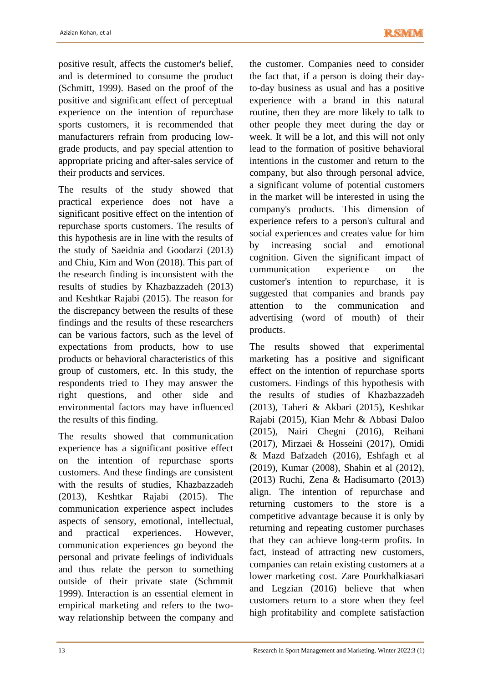positive result, affects the customer's belief, and is determined to consume the product (Schmitt, 1999). Based on the proof of the positive and significant effect of perceptual experience on the intention of repurchase sports customers, it is recommended that manufacturers refrain from producing lowgrade products, and pay special attention to appropriate pricing and after-sales service of their products and services.

The results of the study showed that practical experience does not have a significant positive effect on the intention of repurchase sports customers. The results of this hypothesis are in line with the results of the study of Saeidnia and Goodarzi (2013) and Chiu, Kim and Won (2018). This part of the research finding is inconsistent with the results of studies by Khazbazzadeh (2013) and Keshtkar Rajabi (2015). The reason for the discrepancy between the results of these findings and the results of these researchers can be various factors, such as the level of expectations from products, how to use products or behavioral characteristics of this group of customers, etc. In this study, the respondents tried to They may answer the right questions, and other side and environmental factors may have influenced the results of this finding.

The results showed that communication experience has a significant positive effect on the intention of repurchase sports customers. And these findings are consistent with the results of studies, Khazbazzadeh (2013), Keshtkar Rajabi (2015). The communication experience aspect includes aspects of sensory, emotional, intellectual, and practical experiences. However, communication experiences go beyond the personal and private feelings of individuals and thus relate the person to something outside of their private state (Schmmit 1999). Interaction is an essential element in empirical marketing and refers to the twoway relationship between the company and

the customer. Companies need to consider the fact that, if a person is doing their dayto-day business as usual and has a positive experience with a brand in this natural routine, then they are more likely to talk to other people they meet during the day or week. It will be a lot, and this will not only lead to the formation of positive behavioral intentions in the customer and return to the company, but also through personal advice, a significant volume of potential customers in the market will be interested in using the company's products. This dimension of experience refers to a person's cultural and social experiences and creates value for him by increasing social and emotional cognition. Given the significant impact of communication experience on the customer's intention to repurchase, it is suggested that companies and brands pay attention to the communication and advertising (word of mouth) of their products.

The results showed that experimental marketing has a positive and significant effect on the intention of repurchase sports customers. Findings of this hypothesis with the results of studies of Khazbazzadeh (2013), Taheri & Akbari (2015), Keshtkar Rajabi (2015), Kian Mehr & Abbasi Daloo (2015), Nairi Chegni (2016), Reihani (2017), Mirzaei & Hosseini (2017), Omidi & Mazd Bafzadeh (2016), Eshfagh et al (2019), Kumar (2008), Shahin et al (2012), (2013) Ruchi, Zena & Hadisumarto (2013) align. The intention of repurchase and returning customers to the store is a competitive advantage because it is only by returning and repeating customer purchases that they can achieve long-term profits. In fact, instead of attracting new customers, companies can retain existing customers at a lower marketing cost. Zare Pourkhalkiasari and Legzian (2016) believe that when customers return to a store when they feel high profitability and complete satisfaction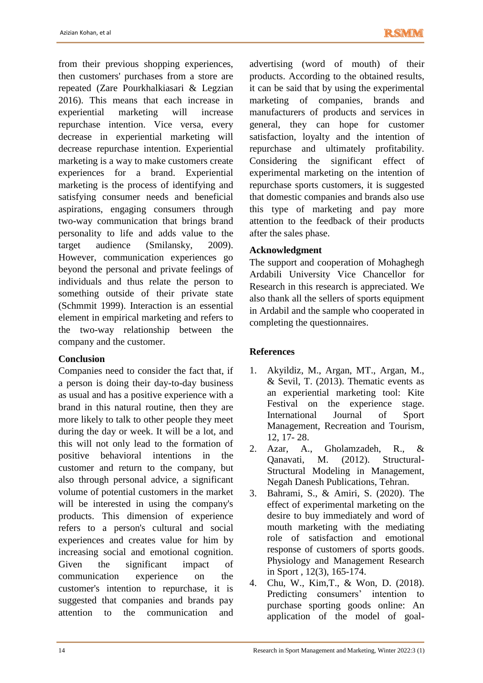from their previous shopping experiences, then customers' purchases from a store are repeated (Zare Pourkhalkiasari & Legzian 2016). This means that each increase in experiential marketing will increase repurchase intention. Vice versa, every decrease in experiential marketing will decrease repurchase intention. Experiential marketing is a way to make customers create experiences for a brand. Experiential marketing is the process of identifying and satisfying consumer needs and beneficial aspirations, engaging consumers through two-way communication that brings brand personality to life and adds value to the target audience (Smilansky, 2009). However, communication experiences go beyond the personal and private feelings of individuals and thus relate the person to something outside of their private state (Schmmit 1999). Interaction is an essential element in empirical marketing and refers to the two-way relationship between the company and the customer.

## **Conclusion**

Companies need to consider the fact that, if a person is doing their day-to-day business as usual and has a positive experience with a brand in this natural routine, then they are more likely to talk to other people they meet during the day or week. It will be a lot, and this will not only lead to the formation of positive behavioral intentions in the customer and return to the company, but also through personal advice, a significant volume of potential customers in the market will be interested in using the company's products. This dimension of experience refers to a person's cultural and social experiences and creates value for him by increasing social and emotional cognition. Given the significant impact of communication experience on the customer's intention to repurchase, it is suggested that companies and brands pay attention to the communication and

advertising (word of mouth) of their products. According to the obtained results, it can be said that by using the experimental marketing of companies, brands and manufacturers of products and services in general, they can hope for customer satisfaction, loyalty and the intention of repurchase and ultimately profitability. Considering the significant effect of experimental marketing on the intention of repurchase sports customers, it is suggested that domestic companies and brands also use this type of marketing and pay more attention to the feedback of their products after the sales phase.

# **Acknowledgment**

The support and cooperation of Mohaghegh Ardabili University Vice Chancellor for Research in this research is appreciated. We also thank all the sellers of sports equipment in Ardabil and the sample who cooperated in completing the questionnaires.

# **References**

- 1. Akyildiz, M., Argan, MT., Argan, M., & Sevil, T. (2013). Thematic events as an experiential marketing tool: Kite Festival on the experience stage. International Journal of Sport Management, Recreation and Tourism, 12, 17- 28.
- 2. Azar, A., Gholamzadeh, R., & Qanavati, M. (2012). Structural-Structural Modeling in Management, Negah Danesh Publications, Tehran.
- 3. Bahrami, S., & Amiri, S. (2020). The effect of experimental marketing on the desire to buy immediately and word of mouth marketing with the mediating role of satisfaction and emotional response of customers of sports goods. Physiology and Management Research in Sport , 12(3), 165-174.
- 4. Chu, W., Kim,T., & Won, D. (2018). Predicting consumers' intention to purchase sporting goods online: An application of the model of goal-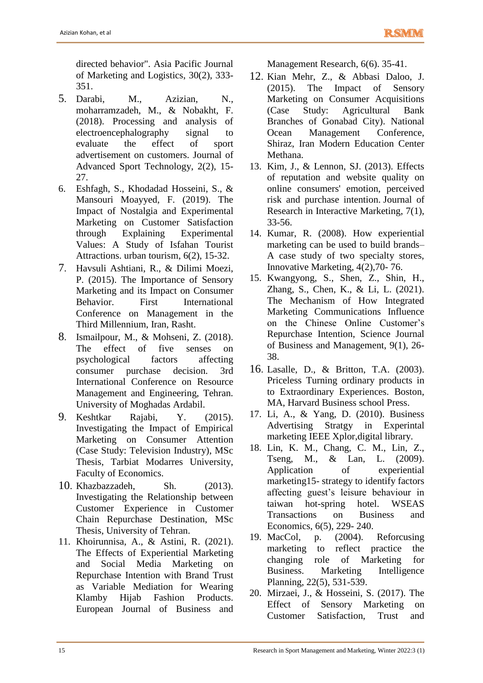directed behavior". Asia Pacific Journal of Marketing and Logistics, 30(2), 333- 351.

- 5. Darabi, M., Azizian, N., moharramzadeh, M., & Nobakht, F. (2018). Processing and analysis of electroencephalography signal to evaluate the effect of sport advertisement on customers. Journal of Advanced Sport Technology, 2(2), 15- 27.
- 6. Eshfagh, S., Khodadad Hosseini, S., & Mansouri Moayyed, F. (2019). The Impact of Nostalgia and Experimental Marketing on Customer Satisfaction through Explaining Experimental Values: A Study of Isfahan Tourist Attractions. urban tourism, 6(2), 15-32.
- 7. Havsuli Ashtiani, R., & Dilimi Moezi, P. (2015). The Importance of Sensory Marketing and its Impact on Consumer Behavior. First International Conference on Management in the Third Millennium, Iran, Rasht.
- 8. Ismailpour, M., & Mohseni, Z. (2018). The effect of five senses on psychological factors affecting consumer purchase decision. 3rd International Conference on Resource Management and Engineering, Tehran. University of Moghadas Ardabil.
- 9. Keshtkar Rajabi, Y. (2015). Investigating the Impact of Empirical Marketing on Consumer Attention (Case Study: Television Industry), MSc Thesis, Tarbiat Modarres University, Faculty of Economics.
- 10. Khazbazzadeh, Sh. (2013). Investigating the Relationship between Customer Experience in Customer Chain Repurchase Destination, MSc Thesis, University of Tehran.
- 11. Khoirunnisa, A., & Astini, R. (2021). The Effects of Experiential Marketing and Social Media Marketing on Repurchase Intention with Brand Trust as Variable Mediation for Wearing Klamby Hijab Fashion Products. European Journal of Business and

Management Research, 6(6). 35-41.

- 12. Kian Mehr, Z., & Abbasi Daloo, J. (2015). The Impact of Sensory Marketing on Consumer Acquisitions (Case Study: Agricultural Bank Branches of Gonabad City). National Ocean Management Conference, Shiraz, Iran Modern Education Center Methana.
- 13. Kim, J., & Lennon, SJ. (2013). Effects of reputation and website quality on online consumers' emotion, perceived risk and purchase intention. Journal of Research in Interactive Marketing, 7(1), 33-56.
- 14. Kumar, R. (2008). How experiential marketing can be used to build brands– A case study of two specialty stores, Innovative Marketing, 4(2),70- 76.
- 15. Kwangyong, S., Shen, Z., Shin, H., Zhang, S., Chen, K., & Li, L. (2021). The Mechanism of How Integrated Marketing Communications Influence on the Chinese Online Customer's Repurchase Intention, Science Journal of Business and Management, 9(1), 26- 38.
- 16. Lasalle, D., & Britton, T.A. (2003). Priceless Turning ordinary products in to Extraordinary Experiences. Boston, MA, Harvard Business school Press.
- 17. Li, A., & Yang, D. (2010). Business Advertising Stratgy in Experintal marketing IEEE Xplor,digital library.
- 18. Lin, K. M., Chang, C. M., Lin, Z., Tseng, M., & Lan, L. (2009). Application of experiential marketing15- strategy to identify factors affecting guest's leisure behaviour in taiwan hot-spring hotel. WSEAS Transactions on Business and Economics, 6(5), 229- 240.
- 19. MacCol, p. (2004). Reforcusing marketing to reflect practice the changing role of Marketing for Business. Marketing Intelligence Planning, 22(5), 531-539.
- 20. Mirzaei, J., & Hosseini, S. (2017). The Effect of Sensory Marketing on Customer Satisfaction, Trust and